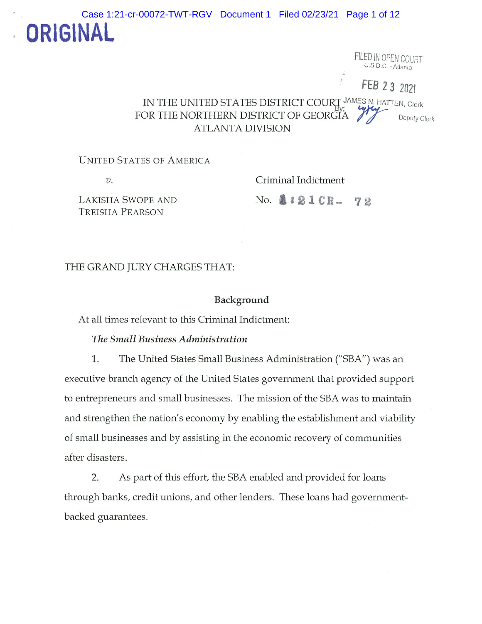

FILED IN OPEN COURT  $U.S.D.C. - Altanla$ 

FEB 2 3 2021

IN THE UNITED STATES DISTRICT COURT JAMES N. HATTEN, Clerk FOR THE NORTHERN DISTRICT OF GEORGIA 75 ATLANTA DIVISION

UNITED STATES OF AMERICA

LAKISHA SWOPE AND No. 2:21 CR- 72 TREISHA PEARSON

v. Criminal Indictment

## THE GRAND JURY CHARGES THAT:

### Background

At all times relevant to this Criminal Indictment:

## The Small Business Administration

1. The United States Small Business Administration ("SBA") was an executive branch agency of the United States government that provided support to entrepreneurs and small businesses. The mission of the SBA was to maintain and strengthen the nation's economy by enabling the establishment and viability of small businesses and by assisting in the economic recovery of communities after disasters.

2. As part of this effort, the SBA enabled and provided for loans through banks, credit unions, and other lenders. These loans had governmentbacked guarantees.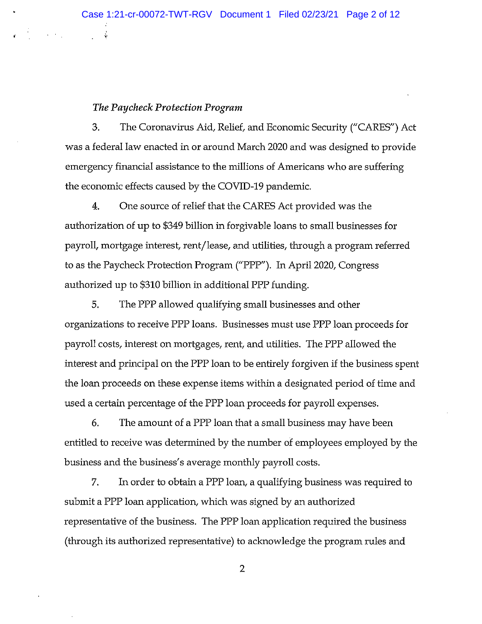## The Paycheck Protection Program

÷,

3. The Coronavirus Aid, Relief, and Economic Security ("CARES") Act was a federal law enacted in or around March 2020 and was designed to provide emergency financial assistance to the millions of Americans who are suffering the economic effects caused by the COVID-19 pandemic.

4. One source of relief that the CARES Act provided was the authorization of up to \$349 billion in forgivable loans to small businesses for payroll, mortgage interest, rent/lease, and utilities, through a program referred to as the Paycheck Protection Program ("PPP"). In April 2020, Congress authorized up to \$310 billion in additional PPP funding.

5. The PPP allowed qualifying small businesses and other organizations to receive PPP loans. Businesses must use PPP loan proceeds for payroll costs, interest on mortgages, rent, and utilities. The PPP allowed the interest and principal on the PPP loan to be entirely forgiven if the business spent the loan proceeds on these expense items within a designated period of time and used a certain percentage of the PPP loan proceeds for payroll expenses.

6. The amount of a PPP loan that a small business may have been entitled to receive was determined by the number of employees employed by the business and the business's average monthly payroll costs.

7. In order to obtain a PPP loan, <sup>a</sup> qualifying business was required to submit a PPP loan application, which was signed by an authorized representative of the business. The PPP loan application required the business (through its authorized representative) to acknowledge the program rules and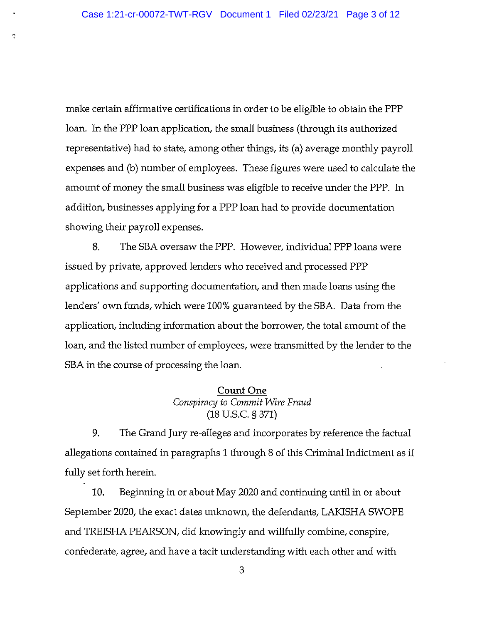¢

make certain affirmative certifications in order to be eligible to obtain the PPP loan. In the PPP loan application, the small business (through its authorized representative) had to state, among other things, its (a) average monthly payroll expenses and (b) number of employees. These figures were used to calculate the amount of money the small business was eligible to receive under the PPP. In addition, businesses applying for a PPP loan had to provide documentation showing their payroll expenses.

8. The SBA oversaw the PIP. However, individual PPP loans were issued by private, approved lenders who received and processed PPP applications and supporting documentation, and then made loans using the lenders' own funds, which were 100% guaranteed by the SBA. Data from the application, including thformation about the borrower, the total amount of the loan, and the listed number of employees, were transmitted by the lender to the SBA in the course of processing the loan.

## Count One Conspiracy to Commit Wire Fraud (18 U.S.C. § 371)

9. The Grand Jury re-alleges and incorporates by reference the factual allegations contained in paragraphs <sup>1</sup> through <sup>8</sup> of this Criminal Indictment as if fully set forth herein.

10. Beginning in or about May 2020 and continuing until in or about September 2020, the exact dates unknown, the defendants, LAKISHA SWOPE and TREISHA PEARSON, did knowingly and willfully combine, conspire, confederate, agree, and have <sup>a</sup> tacit understanding with each other and with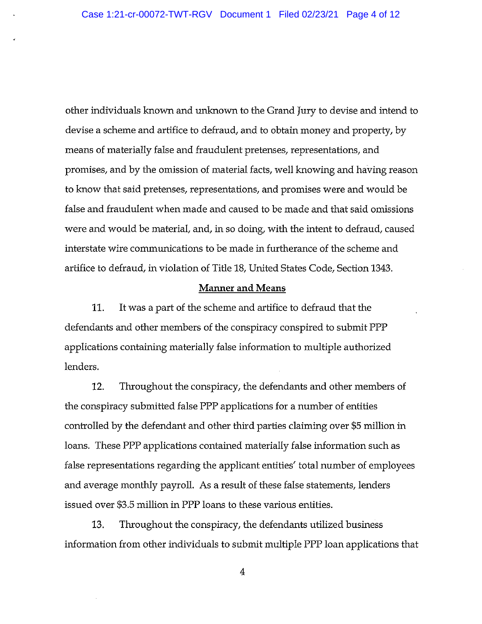other individuals known and unknown to the Grand jury to devise and intend to devise a scheme and artifice to defraud, and to obtain money and property, by means of materially false and fraudulent pretenses, representations, and promises, and by the omission of material facts, well knowing and having reason to know that said pretenses, representations, and promises were and would be false and fraudulent when made and caused to be made and that said omissions were and would be material, and, in so doing, with the intent to defraud, caused interstate wire communications to be made in furtherance of the scheme and artifice to defraud, in violation of Title 18, United States Code, Section 1343.

### Manner and Means

11. It was <sup>a</sup> part of the scheme and artifice to defraud that the defendants and other members of the conspiracy conspired to submit PPP applications containing materially false information to multiple authorized lenders.

12. Throughout the conspiracy, the defendants and other members of the conspiracy submitted false PPP applications for a number of entities controlled by the defendant and other third parties claiming over \$5 million in loans. These PPP applications contained materially false information such as false representations regarding the applicant entities' total number of employees and average monthly payroll. As a result of these false statements, lenders issued over \$3.5 million in PPP loans to these various entities.

13. Throughout the conspiracy, the defendants utilized business information from other individuals to submit multiple PPP loan applications that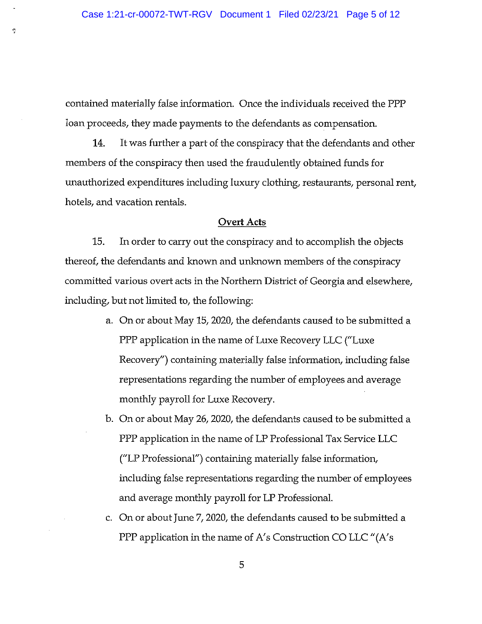ŋ

contained materially false information. Once the individuals received the PPP loan proceeds, they made payments to the defendants as compensation.

14. It was further <sup>a</sup> part of the conspiracy that the defendants and other members of the conspiracy then used the fraudulently obtained funds for unauthorized expenditures including luxury clothing, restaurants, personal rent, hotels, and vacation rentals.

#### Overt Acts

15. In order to carry out the conspiracy and to accomplish the objects thereof, the defendants and known and unknown members of the conspiracy committed various overt acts in the Northern District of Georgia and elsewhere, including, but not limited to, the following:

- a. On or about May 15, 2020, the defendants caused to be submitted a PPP application in the name of Luxe Recovery LLC ("Luxe Recovery") containing materially false information, including false representations regarding the number of employees and average monthly payroll for Luxe Recovery.
- b. On or about May 26, 2020, the defendants caused to be submitted a PPP application in the name of LP Professional Tax Service LLC ("LP Professional") containing materially false information, including false representations regarding the number of employees and average monthly payroll for LP Professional.
- c. On or about June 7,2020, the defendants caused to be submitted a PPP application in the name of A's Construction CO LLC "(A's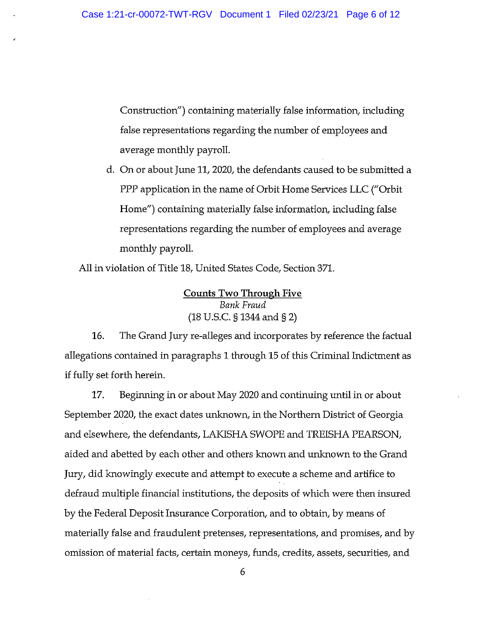Construction") containing materially false information, including false representations regarding the number of employees and average monthly payroll.

d. On or about June 11, 2020, the defendants caused to be submitted a PPP application in the name of Orbit Home Services LLC ("Orbit Home") containing materially false information, including false representations regarding the number of employees and average monthly payroll.

All in violation of Title 18, United States Code, Section 371.

Counts Two Through Five Bank Fraud (18 U.S.C. § 1344 and §2)

16. The Grand Jury re-alleges and incorporates by reference the factual allegations contained in paragraphs <sup>1</sup> through 15 of this Criminal Indictment as if fully set forth herein.

17. Beginning in or about May 2020 and continuing until in or about September 2020, the exact dates unknown, in the Northern District of Georgia and elsewhere, the defendants, LAKISHA SWOPE and TREISHA PEARSON, aided and abetted by each other and others known and unknown to the Grand Jury, did knowingly execute and attempt to execute a scheme and artifice to defraud multiple financial institutions, the deposits of which were then insured by the Federal Deposit Insurance Corporation, and to obtain, by means of materially false and fraudulent pretenses, representations, and promises, and by omission of material facts, certain moneys, funds, credits, assets, securities, and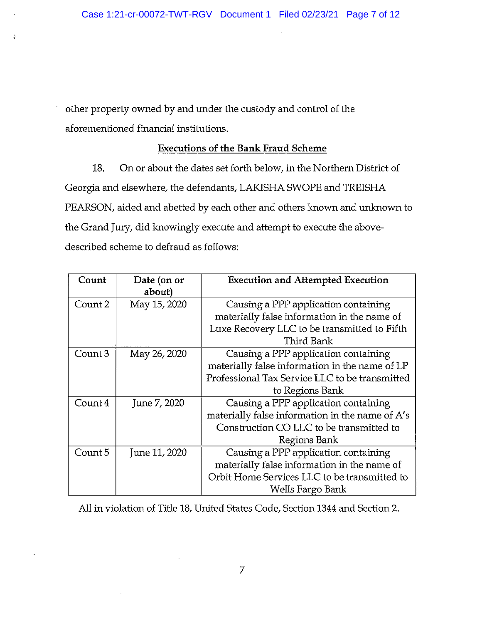$\ddot{\phantom{a}}$ 

other property owned by and under the custody and control of the aforementioned financial institutions.

ğ,

## Executions of the Bank Fraud Scheme

18. On or about the dates set forth below, in the Northern District of Georgia and elsewhere, the defendants, LAKISHA SWOPE and TREISHA PEARSON, aided and abetted by each other and others known and unknown to the Grand Jury, did knowingly execute and attempt to execute the abovedescribed scheme to defraud as follows:

| Count   | Date (on or   | <b>Execution and Attempted Execution</b>        |
|---------|---------------|-------------------------------------------------|
|         | about)        |                                                 |
| Count 2 | May 15, 2020  | Causing a PPP application containing            |
|         |               | materially false information in the name of     |
|         |               | Luxe Recovery LLC to be transmitted to Fifth    |
|         |               | Third Bank                                      |
| Count 3 | May 26, 2020  | Causing a PPP application containing            |
|         |               | materially false information in the name of LP  |
|         |               | Professional Tax Service LLC to be transmitted  |
|         |               | to Regions Bank                                 |
| Count 4 | June 7, 2020  | Causing a PPP application containing            |
|         |               | materially false information in the name of A's |
|         |               | Construction CO LLC to be transmitted to        |
|         |               | Regions Bank                                    |
| Count 5 | June 11, 2020 | Causing a PPP application containing            |
|         |               | materially false information in the name of     |
|         |               | Orbit Home Services LLC to be transmitted to    |
|         |               | Wells Fargo Bank                                |

All in violation of Title 18, United States Code, Section 1344 and Section 2.

 $\chi^2$  ,  $\chi^2$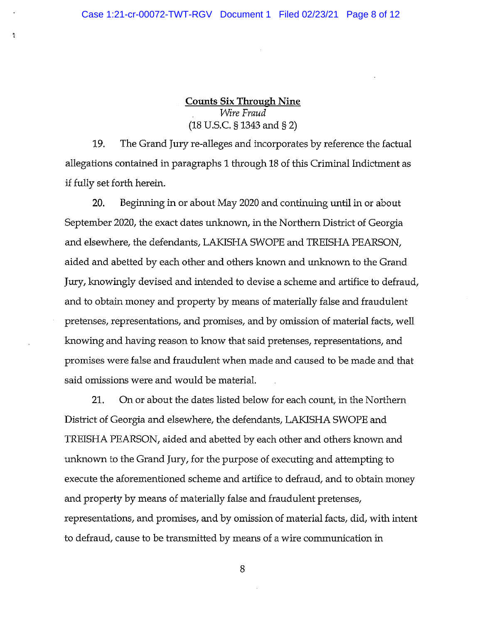$\overline{2}$ 

Counts Six Through Nine Wire Fraud (18 U.S.C. § 1343 and § 2)

19. The Grand Jury re-alleges and incorporates by reference the factual allegations contained in paragraphs <sup>1</sup> through 18 of this Criminal Indictment as if fully set forth herein.

20. Beginning in or about May 2020 and continuing until in or about September 2020, the exact dates unknown, in the Northern District of Georgia and elsewhere, the defendants, LAKISHA SWOPE and TREISHA PEARSON, aided and abetted by each other and others known and unknown to the Grand Jury, knowingly devised and intended to devise <sup>a</sup> scheme and artifice to defraud, and to obtain money and property by means of materially false and fraudulent pretenses, representations, and promises, and by omission of material facts, well knowing and having reason to know that said pretenses, representations, and promises were false and fraudulent when made and caused to be made and that said omissions were and would be material.

21. On or about the dates listed below for each count, in the Northern District of Georgia and elsewhere, the defendants, LAKISHA SWOPE and TREISHA PEARSON, aided and abetted by each other and others known and unknown to the Grand Jury, for the purpose of executing and attempting to execute the aforementioned scheme and artifice to defraud, and to obtain money and property by means of materially false and fraudulent pretenses, representations, and promises, and by omission of material facts, did, with intent to defraud, cause to be transmitted by means of a wire communication in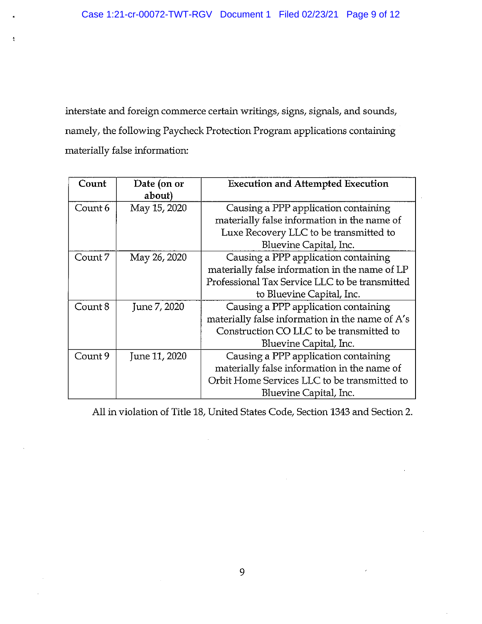$\mathbf{t}$ 

interstate and foreign commerce certain writings, signs, signals, and sounds, namely, the following Paycheck Protection Program applications containing materially false information:

| Count   | Date (on or<br>about) | <b>Execution and Attempted Execution</b>        |
|---------|-----------------------|-------------------------------------------------|
| Count 6 | May 15, 2020          | Causing a PPP application containing            |
|         |                       | materially false information in the name of     |
|         |                       | Luxe Recovery LLC to be transmitted to          |
|         |                       | Bluevine Capital, Inc.                          |
| Count 7 | May 26, 2020          | Causing a PPP application containing            |
|         |                       | materially false information in the name of LP  |
|         |                       | Professional Tax Service LLC to be transmitted  |
|         |                       | to Bluevine Capital, Inc.                       |
| Count 8 | June 7, 2020          | Causing a PPP application containing            |
|         |                       | materially false information in the name of A's |
|         |                       | Construction CO LLC to be transmitted to        |
|         |                       | Bluevine Capital, Inc.                          |
| Count 9 | June 11, 2020         | Causing a PPP application containing            |
|         |                       | materially false information in the name of     |
|         |                       | Orbit Home Services LLC to be transmitted to    |
|         |                       | Bluevine Capital, Inc.                          |

All in violation of Title 18, United States Code, Section 1343 and Section 2.

 $\sim$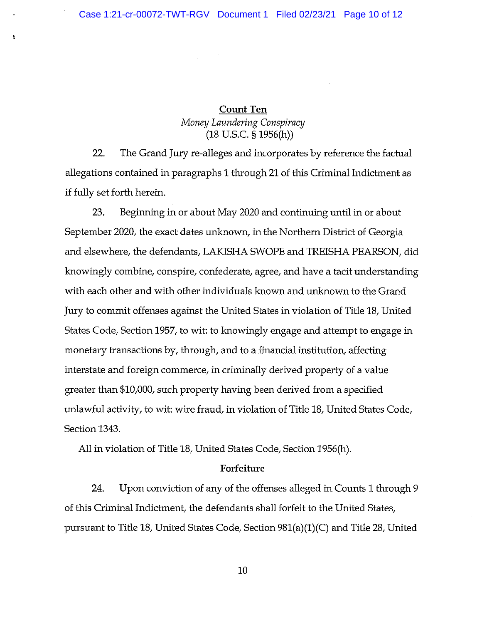ħ

# Count Ten Money Laundering Conspiracy (18 U.S.C. § 1956(h))

22. The Grand Jury re-alleges and incorporates by reference the factual allegations contained in paragraphs <sup>1</sup> through 21 of this Criminal Indictment as if fully set forth herein.

23. Beginning in or about May 2020 and continuing until in or about September 2020, the exact dates unknown, in the Northern District of Georgia and elsewhere, the defendants, LAKISHA SWOPE and TREISHA PEARSON, did knowingly combine, conspire, confederate, agree, and have a tacit understanding with each other and with other individuals known and unknown to the Grand Jury to commit offenses against the United States in violation of Title 18, United States Code, Section 1957, to wit: to knowingly engage and attempt to engage in monetary transactions by, through, and to a financial institution, affecting interstate and foreign commerce, in criminally derived property of a value greater than \$10,000, such property having been derived from a specified unlawful activity, to wit: wire fraud, in violation of Title 18, United States Code, Section 1343.

All in violation of Title 18, United States Code, Section 1956(h).

### Forfeiture

24. Upon conviction of any of the offenses alleged in Counts <sup>1</sup> through <sup>9</sup> of this Criminal Indictment, the defendants shall forfeit to the United States, pursuant to Title 18, United States Code, Section 981 (a) (1)(C) and Title 28, United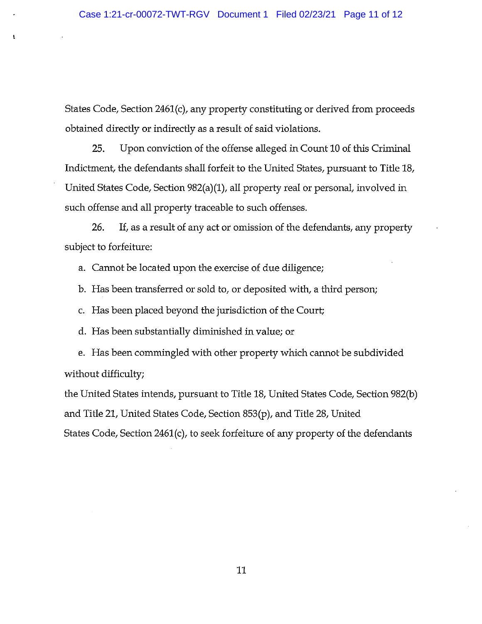States Code, Section 2461(c), any property constituting or derived from proceeds obtained directly or indirectly as <sup>a</sup> result of said violations.

25. Upon conviction of the offense alleged in Count 10 of this Criminal Indictment, the defendants shall forfeit to the United States, pursuant to Title 18, United States Code, Section 982(a) (1), all property real or personal, involved in such offense and all property traceable to such offenses.

26. If, as a result of any act or omission of the defendants, any property subject to forfeiture:

a. Cannot be located upon the exercise of due diligence;

b. Has been transferred or sold to, or deposited with, a third person;

c. Has been placed beyond the jurisdiction of the Court;

d. Has been substantially diminished in value; or

ł,

e. Has been commingled with other property which cannot be subdivided without difficulty;

the United States intends, pursuant to Title 18, United States Code, Section 982(b) and Title 21, United States Code, Section 853(p), and Title 28, United States Code, Section 2461(c), to seek forfeiture of any property of the defendants